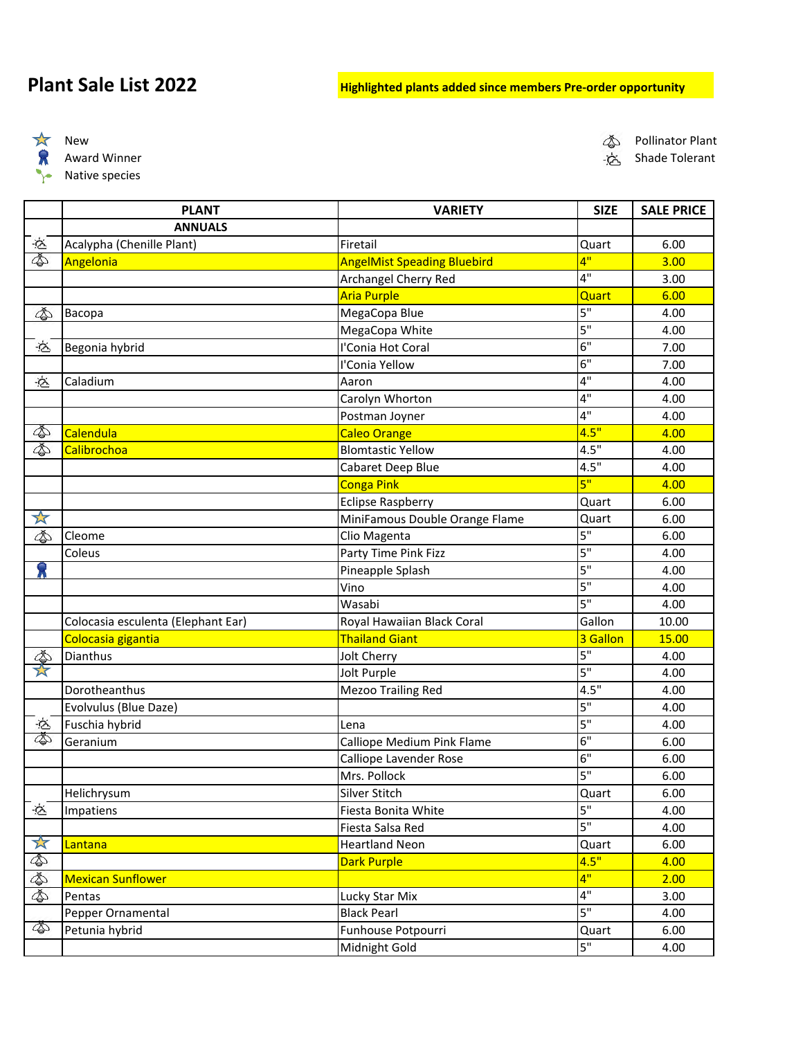## **Plant Sale List 2022 Highlighted plants added since members Pre-order opportunity**

 $\frac{1}{N}$ 宗 付

Native species

 $\tilde{\mathbb{Q}}$  Pollinator Plant

Award Winner المستخدم المستخدم المستخدم المستخدم المستخدم المستخدم المستخدم المستخدم المستخدم المستخدم المستخدم المستخدم المستخدم المستخدم المستخدم المستخدم المستخدم المستخدم المستخدم المستخدم المستخدم المستخدم المستخدم ا

|                      | <b>PLANT</b>                       | <b>VARIETY</b>                     | <b>SIZE</b> | <b>SALE PRICE</b> |
|----------------------|------------------------------------|------------------------------------|-------------|-------------------|
|                      | <b>ANNUALS</b>                     |                                    |             |                   |
| $\dot{\otimes}$      | Acalypha (Chenille Plant)          | Firetail                           | Quart       | 6.00              |
| 的                    | Angelonia                          | <b>AngelMist Speading Bluebird</b> | 4"          | 3.00              |
|                      |                                    | Archangel Cherry Red               | 4"          | 3.00              |
|                      |                                    | <b>Aria Purple</b>                 | Quart       | 6.00              |
| 4                    | Bacopa                             | MegaCopa Blue                      | 5"          | 4.00              |
|                      |                                    | MegaCopa White                     | 5"          | 4.00              |
| -दि                  | Begonia hybrid                     | l'Conia Hot Coral                  | 6"          | 7.00              |
|                      |                                    | I'Conia Yellow                     | 6"          | 7.00              |
| $\dot{\mathfrak{S}}$ | Caladium                           | Aaron                              | 4"          | 4.00              |
|                      |                                    | Carolyn Whorton                    | 4"          | 4.00              |
|                      |                                    | Postman Joyner                     | 4"          | 4.00              |
| ¢                    | Calendula                          | <b>Caleo Orange</b>                | 4.5"        | 4.00              |
|                      | Calibrochoa                        | <b>Blomtastic Yellow</b>           | 4.5"        | 4.00              |
|                      |                                    | Cabaret Deep Blue                  | 4.5"        | 4.00              |
|                      |                                    | <b>Conga Pink</b>                  | 5"          | 4.00              |
|                      |                                    | <b>Eclipse Raspberry</b>           | Quart       | 6.00              |
| 文                    |                                    | MiniFamous Double Orange Flame     | Quart       | 6.00              |
| ٨                    | Cleome                             | Clio Magenta                       | 5"          | 6.00              |
|                      | Coleus                             | Party Time Pink Fizz               | 5"          | 4.00              |
|                      |                                    | Pineapple Splash                   | 5"          | 4.00              |
|                      |                                    | Vino                               | 5"          | 4.00              |
|                      |                                    | Wasabi                             | 5"          | 4.00              |
|                      | Colocasia esculenta (Elephant Ear) | Royal Hawaiian Black Coral         | Gallon      | 10.00             |
|                      | Colocasia gigantia                 | <b>Thailand Giant</b>              | 3 Gallon    | 15.00             |
| 全人                   | Dianthus                           | Jolt Cherry                        | 5"          | 4.00              |
|                      |                                    | Jolt Purple                        | 5"          | 4.00              |
|                      | Dorotheanthus                      | <b>Mezoo Trailing Red</b>          | 4.5"        | 4.00              |
|                      | Evolvulus (Blue Daze)              |                                    | 5"          | 4.00              |
| $\Delta$             | Fuschia hybrid                     | Lena                               | 5"          | 4.00              |
|                      | Geranium                           | Calliope Medium Pink Flame         | 6"          | 6.00              |
|                      |                                    | Calliope Lavender Rose             | 6"          | 6.00              |
|                      |                                    | Mrs. Pollock                       | 5"          | 6.00              |
|                      | Helichrysum                        | Silver Stitch                      | Quart       | 6.00              |
| 心<br>                | Impatiens                          | Fiesta Bonita White                | 5"          | 4.00              |
|                      |                                    | Fiesta Salsa Red                   | 5"          | 4.00              |
|                      | Lantana                            | <b>Heartland Neon</b>              | Quart       | 6.00              |
| たまある                 |                                    | <b>Dark Purple</b>                 | 4.5"        | 4.00              |
|                      | <b>Mexican Sunflower</b>           |                                    | 4"          | 2.00              |
|                      | Pentas                             | Lucky Star Mix                     | 4"          | 3.00              |
|                      | Pepper Ornamental                  | <b>Black Pearl</b>                 | 5"          | 4.00              |
| ¢                    | Petunia hybrid                     | Funhouse Potpourri                 | Quart       | 6.00              |
|                      |                                    | Midnight Gold                      | 5"          | 4.00              |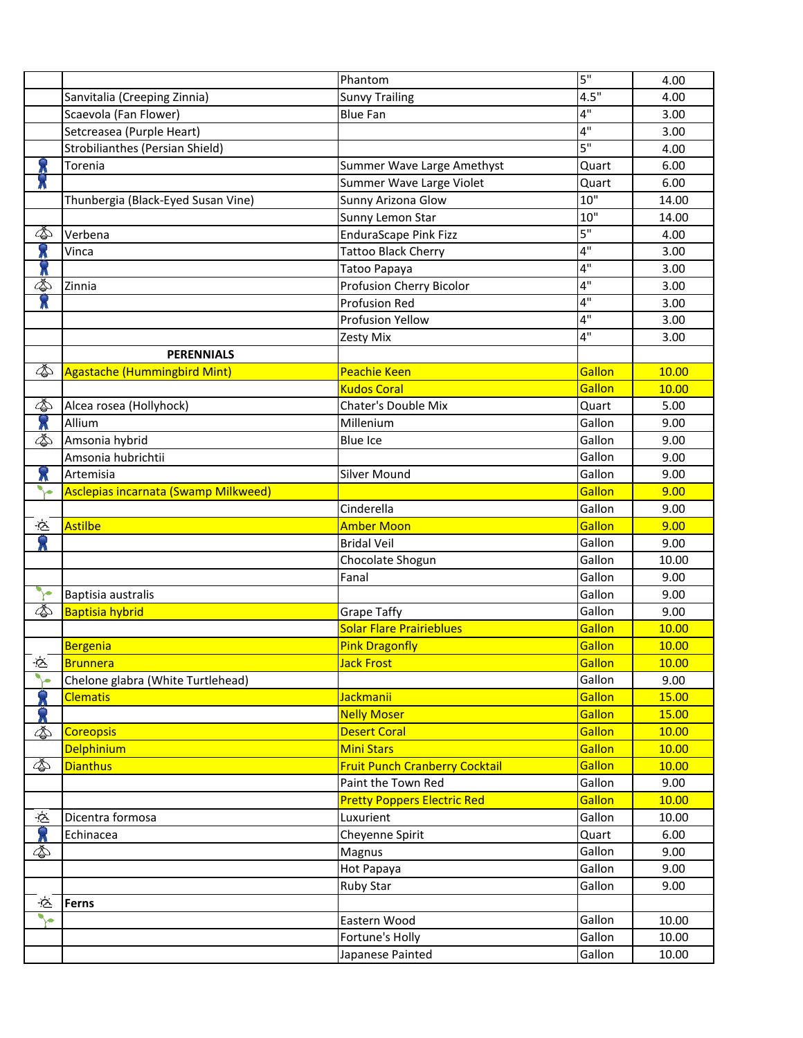|                    |                                        | Phantom                               | 5"               | 4.00           |
|--------------------|----------------------------------------|---------------------------------------|------------------|----------------|
|                    | Sanvitalia (Creeping Zinnia)           | <b>Sunvy Trailing</b>                 | 4.5"             | 4.00           |
|                    | Scaevola (Fan Flower)                  | <b>Blue Fan</b>                       | 4"               | 3.00           |
|                    | Setcreasea (Purple Heart)              |                                       | 4"               | 3.00           |
|                    | <b>Strobilianthes (Persian Shield)</b> |                                       | 5"               | 4.00           |
|                    | Torenia                                | Summer Wave Large Amethyst            | Quart            | 6.00           |
|                    |                                        | Summer Wave Large Violet              | Quart            | 6.00           |
|                    | Thunbergia (Black-Eyed Susan Vine)     | Sunny Arizona Glow                    | 10"              | 14.00          |
|                    |                                        | Sunny Lemon Star                      | 10"              | 14.00          |
|                    | Verbena                                | <b>EnduraScape Pink Fizz</b>          | 5"               | 4.00           |
|                    | Vinca                                  | <b>Tattoo Black Cherry</b>            | 4"               | 3.00           |
|                    |                                        | Tatoo Papaya                          | 4"               | 3.00           |
| ⚠                  | Zinnia                                 | Profusion Cherry Bicolor              | 4"               | 3.00           |
|                    |                                        | <b>Profusion Red</b>                  | 4"               | 3.00           |
|                    |                                        | <b>Profusion Yellow</b>               | 4"               | 3.00           |
|                    |                                        | Zesty Mix                             | 4"               | 3.00           |
|                    | <b>PERENNIALS</b>                      |                                       |                  |                |
| 的                  | <b>Agastache (Hummingbird Mint)</b>    | <b>Peachie Keen</b>                   | Gallon           | 10.00          |
|                    |                                        | <b>Kudos Coral</b>                    | Gallon           | 10.00          |
| ¢                  | Alcea rosea (Hollyhock)                | Chater's Double Mix                   | Quart            | 5.00           |
| $\hat{\mathbf{x}}$ | Allium                                 | Millenium                             | Gallon           | 9.00           |
| ٨                  | Amsonia hybrid                         | <b>Blue Ice</b>                       | Gallon           | 9.00           |
|                    | Amsonia hubrichtii                     |                                       | Gallon           | 9.00           |
| X                  | Artemisia                              | <b>Silver Mound</b>                   | Gallon           | 9.00           |
| ∿∽                 | Asclepias incarnata (Swamp Milkweed)   |                                       | Gallon           | 9.00           |
|                    |                                        | Cinderella                            | Gallon           | 9.00           |
| $\tilde{\infty}$   | <b>Astilbe</b>                         | <b>Amber Moon</b>                     | Gallon           | 9.00           |
|                    |                                        | <b>Bridal Veil</b>                    | Gallon           | 9.00           |
|                    |                                        | Chocolate Shogun                      | Gallon           | 10.00          |
|                    |                                        | Fanal                                 | Gallon           | 9.00           |
| 美                  | Baptisia australis                     |                                       | Gallon           | 9.00           |
| ¢                  | <b>Baptisia hybrid</b>                 | <b>Grape Taffy</b>                    | Gallon           | 9.00           |
|                    |                                        | <b>Solar Flare Prairieblues</b>       | Gallon           | 10.00          |
|                    | Bergenia                               | <b>Pink Dragonfly</b>                 | Gallon           | 10.00          |
| 必.                 | Brunnera                               | <b>Jack Frost</b>                     | Gallon           | <b>10.00</b>   |
|                    | Chelone glabra (White Turtlehead)      |                                       | Gallon           | 9.00           |
|                    | <b>Clematis</b>                        | <b>Jackmanii</b>                      | Gallon           | 15.00          |
|                    |                                        | <b>Nelly Moser</b>                    | Gallon           | 15.00          |
|                    | <b>Coreopsis</b>                       | <b>Desert Coral</b>                   | Gallon           | 10.00          |
|                    | <b>Delphinium</b>                      | <b>Mini Stars</b>                     | Gallon           | 10.00          |
| ¢                  | <b>Dianthus</b>                        | <b>Fruit Punch Cranberry Cocktail</b> | Gallon           | 10.00          |
|                    |                                        | Paint the Town Red                    | Gallon           | 9.00           |
|                    |                                        | <b>Pretty Poppers Electric Red</b>    | Gallon           | 10.00          |
| さ                  | Dicentra formosa                       | Luxurient                             | Gallon           | 10.00          |
|                    | Echinacea                              | Cheyenne Spirit                       | Quart            | 6.00           |
|                    |                                        | Magnus                                | Gallon           | 9.00           |
|                    |                                        |                                       | Gallon           | 9.00           |
|                    |                                        | Hot Papaya<br>Ruby Star               | Gallon           | 9.00           |
| Ġ                  | <b>Ferns</b>                           |                                       |                  |                |
| ∿∽                 |                                        | Eastern Wood                          | Gallon           | 10.00          |
|                    |                                        |                                       |                  |                |
|                    |                                        |                                       |                  |                |
|                    |                                        | Fortune's Holly<br>Japanese Painted   | Gallon<br>Gallon | 10.00<br>10.00 |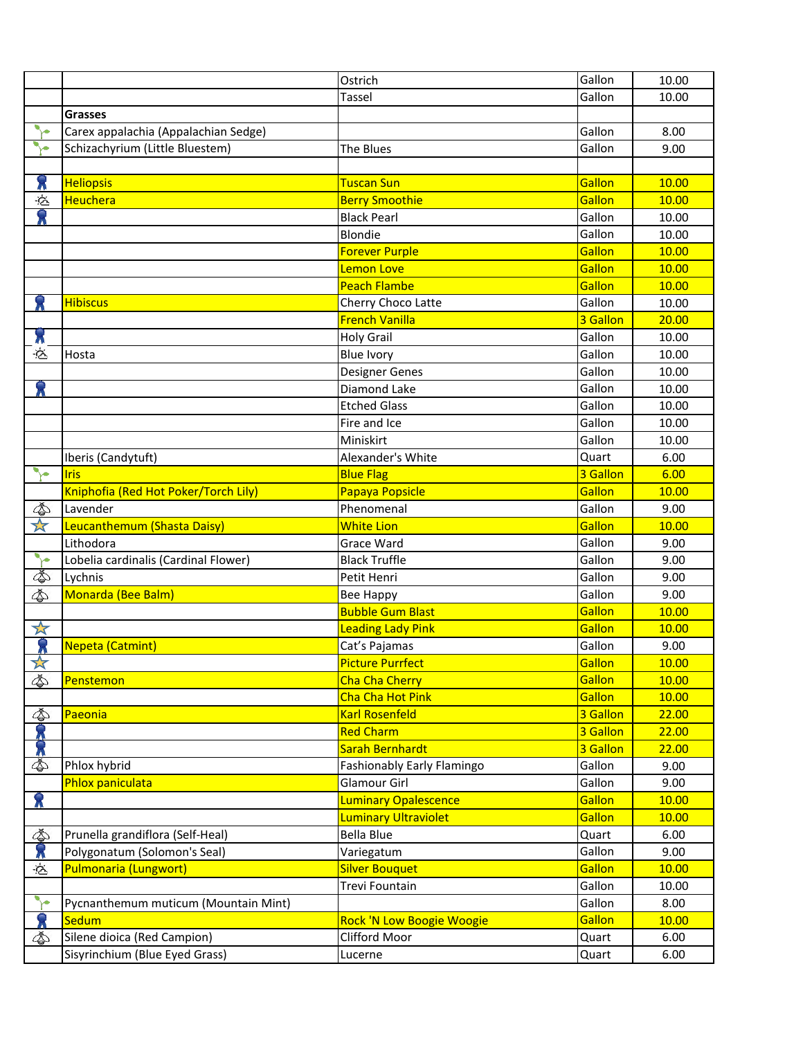|                      |                                      | Ostrich                          | Gallon   | 10.00 |
|----------------------|--------------------------------------|----------------------------------|----------|-------|
|                      |                                      | Tassel                           | Gallon   | 10.00 |
|                      | <b>Grasses</b>                       |                                  |          |       |
|                      | Carex appalachia (Appalachian Sedge) |                                  | Gallon   | 8.00  |
| ٧e                   | Schizachyrium (Little Bluestem)      | The Blues                        | Gallon   | 9.00  |
|                      |                                      |                                  |          |       |
| Х                    | <b>Heliopsis</b>                     | Tuscan Sun                       | Gallon   | 10.00 |
| -Ġ                   | Heuchera                             | <b>Berry Smoothie</b>            | Gallon   | 10.00 |
| R                    |                                      | <b>Black Pearl</b>               | Gallon   | 10.00 |
|                      |                                      | <b>Blondie</b>                   | Gallon   | 10.00 |
|                      |                                      | <b>Forever Purple</b>            | Gallon   | 10.00 |
|                      |                                      | Lemon Love                       | Gallon   | 10.00 |
|                      |                                      | <b>Peach Flambe</b>              | Gallon   | 10.00 |
|                      | <b>Hibiscus</b>                      | Cherry Choco Latte               | Gallon   | 10.00 |
|                      |                                      | <b>French Vanilla</b>            | 3 Gallon | 20.00 |
| X                    |                                      | <b>Holy Grail</b>                | Gallon   | 10.00 |
| 它                    | Hosta                                | <b>Blue Ivory</b>                | Gallon   | 10.00 |
|                      |                                      | Designer Genes                   | Gallon   | 10.00 |
|                      |                                      | Diamond Lake                     | Gallon   | 10.00 |
|                      |                                      | <b>Etched Glass</b>              | Gallon   | 10.00 |
|                      |                                      | Fire and Ice                     | Gallon   | 10.00 |
|                      |                                      | Miniskirt                        | Gallon   | 10.00 |
|                      | Iberis (Candytuft)                   | Alexander's White                | Quart    | 6.00  |
| $\blacktriangledown$ | <b>Iris</b>                          | <b>Blue Flag</b>                 | 3 Gallon | 6.00  |
|                      | Kniphofia (Red Hot Poker/Torch Lily) | Papaya Popsicle                  | Gallon   | 10.00 |
| ¢                    | Lavender                             | Phenomenal                       | Gallon   | 9.00  |
| ☆                    | Leucanthemum (Shasta Daisy)          | <b>White Lion</b>                | Gallon   | 10.00 |
|                      | Lithodora                            | Grace Ward                       | Gallon   | 9.00  |
| ┡                    | Lobelia cardinalis (Cardinal Flower) | <b>Black Truffle</b>             | Gallon   | 9.00  |
| 的                    | Lychnis                              | Petit Henri                      | Gallon   | 9.00  |
| 4                    | Monarda (Bee Balm)                   | <b>Bee Happy</b>                 | Gallon   | 9.00  |
|                      |                                      | <b>Bubble Gum Blast</b>          | Gallon   | 10.00 |
| 斗                    |                                      | <b>Leading Lady Pink</b>         | Gallon   | 10.00 |
|                      | Nepeta (Catmint)                     | Cat's Pajamas                    | Gallon   | 9.00  |
| $\frac{1}{\sqrt{2}}$ |                                      | <b>Picture Purrfect</b>          | Gallon   | 10.00 |
| <b>₿</b>             | Penstemon                            | <b>Cha Cha Cherry</b>            | Gallon   | 10.00 |
|                      |                                      | Cha Cha Hot Pink                 | Gallon   | 10.00 |
| ¢                    | Paeonia                              | <b>Karl Rosenfeld</b>            | 3 Gallon | 22.00 |
|                      |                                      | <b>Red Charm</b>                 | 3 Gallon | 22.00 |
|                      |                                      | Sarah Bernhardt                  | 3 Gallon | 22.00 |
|                      | Phlox hybrid                         | Fashionably Early Flamingo       | Gallon   | 9.00  |
|                      | Phlox paniculata                     | <b>Glamour Girl</b>              | Gallon   | 9.00  |
| $\hat{\mathbf{z}}$   |                                      | <b>Luminary Opalescence</b>      | Gallon   | 10.00 |
|                      |                                      | <b>Luminary Ultraviolet</b>      | Gallon   | 10.00 |
| ¢                    | Prunella grandiflora (Self-Heal)     | <b>Bella Blue</b>                | Quart    | 6.00  |
|                      | Polygonatum (Solomon's Seal)         | Variegatum                       | Gallon   | 9.00  |
| 心                    | <b>Pulmonaria (Lungwort)</b>         | <b>Silver Bouquet</b>            | Gallon   | 10.00 |
|                      |                                      | Trevi Fountain                   | Gallon   | 10.00 |
| ╲                    | Pycnanthemum muticum (Mountain Mint) |                                  | Gallon   | 8.00  |
| $\bullet$            | Sedum                                | <b>Rock 'N Low Boogie Woogie</b> | Gallon   | 10.00 |
| 4                    | Silene dioica (Red Campion)          | Clifford Moor                    | Quart    | 6.00  |
|                      | Sisyrinchium (Blue Eyed Grass)       | Lucerne                          | Quart    | 6.00  |